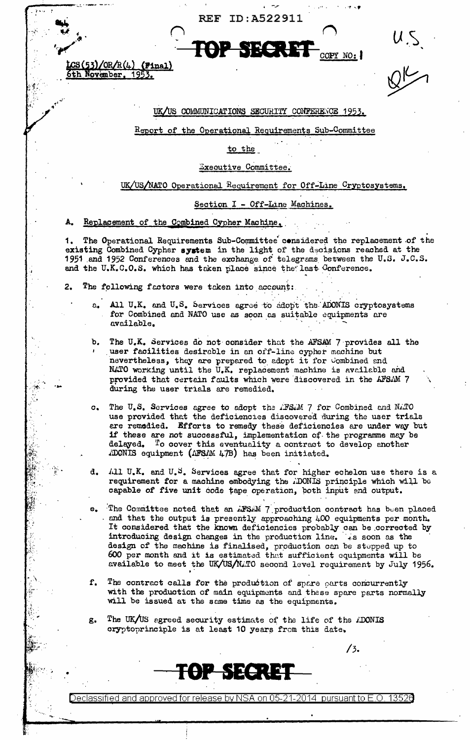ID:A522911 **REF** 



 $CS(53)/OR/R(4)$  (Final) 5th November, 1953.

 $\frac{1}{2}$ 

### UK/US COMMUNICATIONS SECURITY CONFERENCE 1953.

Report of the Operational Requirements Sub-Committee

to the

Executive Committee.

UK/US/NATO Operational Requirement for Off-Line Cryptosystems.

Section I - Off-Line Machines.

A. Replacement of the Combined Cypher Machine.

The Operational Requirements Sub-Committee considered the replacement of the 1. existing Combined Cypher system in the light of the decisions reached at the 1951 and 1952 Conferences and the exchange of telegrams between the U.S. J.C.S. and the U.K.C.O.S. which has taken place since the last Conference.

- The following factors were taken into account: 2.
	- a. All U.K. and U.S. Services agree to adopt the ADONIS cryptosystems for Combined and NATO use as soon as suitable equipments are available.
	- b, The U.K. Services do not consider that the AFSAM 7 provides all the user facilities desirable in an off-line cypher machine but nevertheless, they are prepared to adopt it for Combined and NATO working until the U.K. replacement machine is available and provided that certain faults which were discovered in the AFSAM 7 during the user trials are remedied.
	- The U.S. Services agree to adopt the AFSAM 7 for Combined and NATO  $\alpha$ use provided that the deficiencies discovered during the user trials are remedied. Efforts to remedy these deficiencies are under way but if these are not successful, implementation of the programme may be delayed. To cover this eventuality a contract to develop enother ADONIS equipment (AFSAM 47B) has been initiated.
	- All U.K. and U.S. Services agree that for higher echelon use there is a d. requirement for a machine embodying the ADONIS principle which will be capable of five unit code tape operation, both input and output.
	- The Committee noted that an AFSAM 7 production contract has been placed and that the output is presently approaching 400 equipments per month. It considered that the known deficiencies probably can be corrected by introducing design changes in the production line. . s soon as the design of the machine is finalised, production can be stepped up to 600 per month and it is estimated that sufficient equipments will be available to meet the UK/US/N.TO second level requirement by July 1956.
	- f. The contract calls for the production of spare parts concurrently with the production of main equipments and these spare parts normally will be issued at the same time as the equipments.

 $13.$ 

The UK/US agreed security estimate of the life of the *iDONIS*  $\mathbf{g}$ . oryptoprinciple is at least 10 years from this date.

TOP SECRET

Declassified and approved for release by NSA on 05-21-2014  $\,$  pursuant to E.O. 13520  $\,$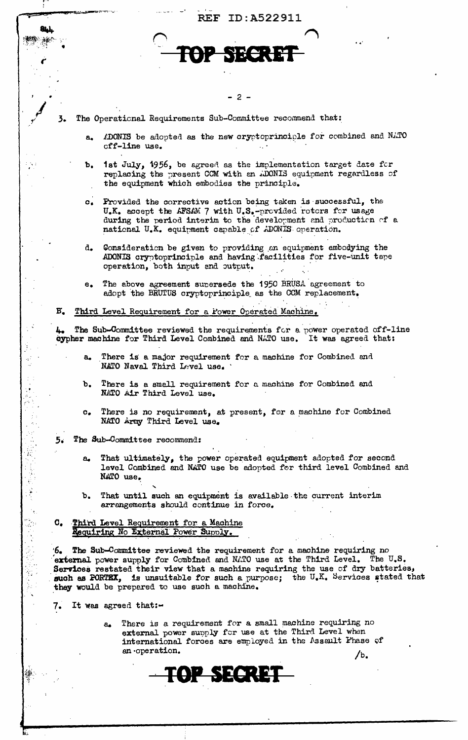|               |                        | ID:A522911<br><b>REF</b>                                                                                                                                                                                                                                                                                                                                                          |
|---------------|------------------------|-----------------------------------------------------------------------------------------------------------------------------------------------------------------------------------------------------------------------------------------------------------------------------------------------------------------------------------------------------------------------------------|
|               |                        |                                                                                                                                                                                                                                                                                                                                                                                   |
|               |                        |                                                                                                                                                                                                                                                                                                                                                                                   |
|               |                        |                                                                                                                                                                                                                                                                                                                                                                                   |
|               |                        |                                                                                                                                                                                                                                                                                                                                                                                   |
|               |                        | $2 -$                                                                                                                                                                                                                                                                                                                                                                             |
| 3.            |                        | The Operational Requirements Sub-Committee recommend that:                                                                                                                                                                                                                                                                                                                        |
|               | a.                     | ADONIS be adopted as the new cryptoprinciple for combined and NATO<br>cff-line use.                                                                                                                                                                                                                                                                                               |
|               | b.                     | 1st July, 1956, be agreed as the implementation target date for<br>replacing the present CCM with an ADONIS equipment regardless of<br>the equipment which embodies the principle.                                                                                                                                                                                                |
|               |                        | c. Provided the corrective action being taken is successful, the<br>U.K. accept the AFSAM 7 with U.S.-provided rotors for usage<br>during the period interim to the development and production of a<br>national U.K. equipment capable of ADONIS operation.                                                                                                                       |
|               | d.                     | Consideration be given to providing an equipment embodying the<br>ADONIS cryptoprinciple and having facilities for five-unit tape<br>operation, both input and output.                                                                                                                                                                                                            |
|               | е.                     | The above agreement supersede the 1950 BRUSA agreement to<br>adopt the BRUTUS cryptoprinciple as the CCM replacement.                                                                                                                                                                                                                                                             |
| $B_{\bullet}$ |                        | Third Level Requirement for a Power Operated Machine.                                                                                                                                                                                                                                                                                                                             |
| 4.            |                        | The Sub-Committee reviewed the requirements for a power operated of f-line<br>oypher machine for Third Level Combined and NATO use. It was agreed that:                                                                                                                                                                                                                           |
|               |                        | There is a major requirement for a machine for Combined and<br>NATO Naval Third Level use.                                                                                                                                                                                                                                                                                        |
|               | ъ.                     | There is a small requirement for a machine for Combined and<br>NATO Air Third Level use.                                                                                                                                                                                                                                                                                          |
|               | $\mathbf{c}_{\bullet}$ | There is no requirement, at present, for a machine for Combined<br>NATO Army Third Level use.                                                                                                                                                                                                                                                                                     |
| 5.            |                        | The Sub-Committee recommend:                                                                                                                                                                                                                                                                                                                                                      |
|               | $\mathbf{a}_{\bullet}$ | That ultimately, the power operated equipment adopted for second<br>level Combined and NATO use be adopted for third level Combined and<br>NATO use.                                                                                                                                                                                                                              |
|               |                        | b. That until such an equipment is available the current interim<br>arrangements should continue in force.                                                                                                                                                                                                                                                                        |
|               |                        | C. Third Level Requirement for a Machine<br>Requiring No External Power Supply.                                                                                                                                                                                                                                                                                                   |
|               |                        | $6.$ The Sub-Committee reviewed the requirement for a machine requiring no<br>external power supply for Combined and NATO use at the Third Level. The U.S.<br>Services restated their view that a machine requiring the use of dry batteries,<br>such as FORTEX, is unsuitable for such a purpose; the U.K. Services stated that<br>they would be prepared to use such a machine. |
| 7.            |                        | It was agreed that:-                                                                                                                                                                                                                                                                                                                                                              |
|               |                        | There is a requirement for a small machine requiring no<br>ಒ<br>external power supply for use at the Third Level when<br>international forces are employed in the Assault Phase of<br>an operation.<br>/b <sub>0</sub>                                                                                                                                                            |
|               |                        |                                                                                                                                                                                                                                                                                                                                                                                   |

Æ,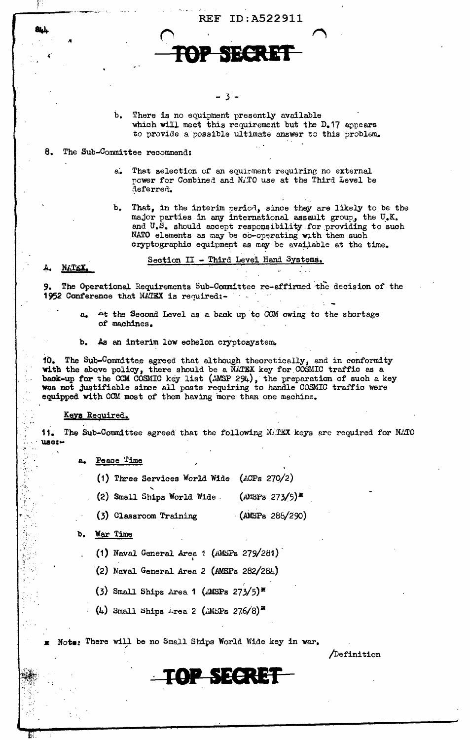**REF ID:A522911** 

NN <del>+</del> 14

- 3 -

 $\mathbf{b}$ . There is no equipment presently available which will meet this requirement but the D.17 appears to provide a possible ultimate answer to this problem.

- 8. The Sub-Committee recommend:
	- That selection of an equirment requiring no external  $6.$ power for Combined and N.TO use at the Third Level be deferred.
	- $b_{\bullet}$ That, in the interim period, since they are likely to be the major parties in any international assault group, the U.K. and U.S. should accept responsibility for providing to such NATO elements as may be co-operating with them such cryptographic equipment as may be available at the time.

Section II - Third Level Hand Systems.

#### M.TEX. А.

The Operational Requirements Sub-Committee re-affirmed the decision of the 9. 1952 Conference that NATEX is required:-

- At the Second Level as a back up to CCM owing to the shortage مە of machines.
- As an interim low echelon cryptosystem. b.

10. The Sub-Committee agreed that although theoretically, and in conformity with the above policy, there should be a NATEX key for COSMIC traffic as a back-up for the CCM COSMIC key list (AMSP 294), the preparation of such was not justifiable since all posts requiring to handle COSMIC traffic were equipped with CCM most of them having more than one machine.

### <u>Keys Required.</u>

11. The Sub-Committee agreed that the following MATEX keys are required for NATO **use:-**

- Peace Time
	- (1) Three Services World Wide (ACPs 270/2)
	- (2) Small Ships World Wide.  $(MSSPs 273/5)$ <sup>x</sup>
	- (3) Classroom Training  $(MSSPs 288/290)$
- b. **War Time** 
	- (1) Naval General Area  $1$  (AMSPs 279/281)
	- $(2)$  Naval General Area 2 (AMSPs 282/284)
	- $(3)$  Small Ships Area 1 (AMSPs 273/5)<sup>x</sup>
	- (4) Small Ships *irea* 2 (*iMSPs* 276/8)<sup>\*\*</sup>

Note: There will be no Small Ships World Wide key in war.

**TOP SECRET** 

Definition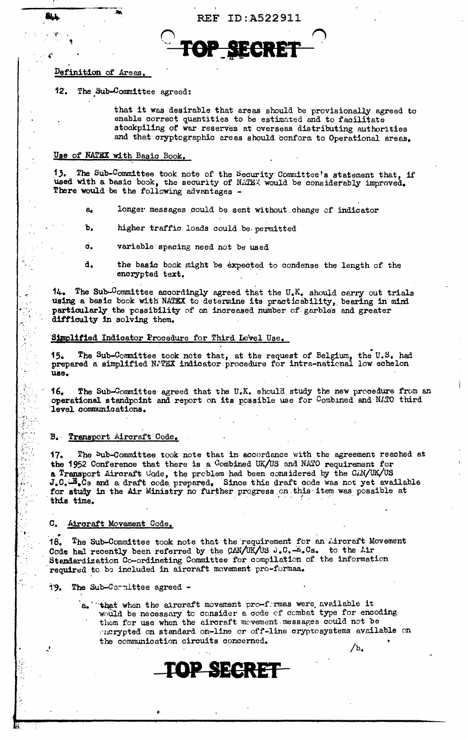# Definition of Areas.

The Sub-Committee agreed: 12.

> that it was desirable that areas should be provisionally agreed to enable correct quantities to be estimated and to facilitate stockpiling of war reserves at overseas distributing authorities and that cryptographic areas should conform to Operational areas.

# Use of NATEX with Basic Book.

13. The Sub-Committee took note of the Security Committee's statement that, if used with a basic book, the security of NATEX would be considerably improved. There would be the following advantages -

- longer messages could be sent without change of indicator a.
- ъ. higher traffic loads could be permitted
- d. variable spacing need not be used
- d. the basic book might be expected to condense the length of the encrypted text.

14. The Sub-Committee accordingly agreed that the  $U_{\bullet}K_{\bullet}$  should carry out trials using a basic book with NATEX to determine its practicability, bearing in mind particularly the possibility of an increased number of garbles and greater difficulty in solving them.

### Simplified Indicator Procedure for Third Level Use.

15. The Sub-Committee took note that, at the request of Belgium, the U.S. had prepared a simplified NATEX indicator procedure for intra-national low echelon use.

The Sub-Committee agreed that the U.K. should study the new procedure from an 16. I operational standpoint and report on its possible use for Combined and NATO third level communications.

#### B. Transport Aircraft Code.

The bub-Committee took note that in accordance with the agreement reached at 17. the 1952 Conference that there is a Combined UK/US and NATO requirement for a Transport Aircraft Code, the problem had been considered by the CAN/UK/US J.C. B.Cs and a draft code prepared. Since this draft code was not yet available for study in the Air Ministry no further progress on this item was possible at this time.

#### $\mathbf{C}_{\bullet}$ Aircraft Movement Code.

18. The Sub-Committee took note that the requirement for an Aircraft Movement Code had recently been referred by the CAN/UK/US J.C. E.Cs. to the Air Stendardization Co-ordinating Committee for compilation of the information required to be included in aircraft movement pro-formas.

The Sub-Cormittee agreed -19.

> $a_n$  that when the aircraft movement pro-fermas were available it would be necessary to consider a code of combat type for encoding them for use when the aircraft mevement messages could not be morypted on standard on-line or off-line cryptosystems available on the communication circuits concerned.

> > **P SECRET**

 $/b.$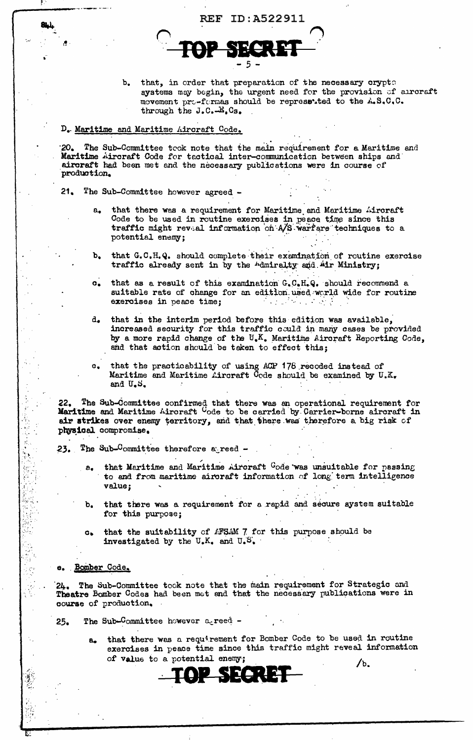b. that, in order that preparation of the necessary crypto systems may begin, the urgent need for the provision of arroraft movement pro-formas should be represented to the A.S.C.C. through the J.C. B.Cs.

### D. Maritime and Maritime Aircraft Code.

20. The Sub-Committee took note that the main requirement for a Maritime and Maritime Aircraft Code for tactical inter-communication between ships and aircraft had been met and the necessary publications were in course of production.

**REF ID:A522911** 

- $21.$ The Sub-Committee however agreed
	- that there was a requirement for Maritime and Maritime Aircraft а. Code to be used in routine exercises in peace time since this traffic might reveal information on A/S warfare techniques to a potential enemy;
	- that G.C.H.Q. should complete their examination of routine exercise  $\mathbf{b}_{\bullet}$ traffic already sent in by the Admiralty and Air Ministry;
	- that as a result of this examination G.C.H.Q. should recommend a  $\mathbf{C}_{\bullet}$ suitable rate of change for an edition used world wide for routine exercises in peace time;  $\sim 100$
	- that in the interim period before this edition was available, d. increased security for this traffic could in many cases be provided by a more rapid change of the  $U_{\bullet}K_{\bullet}$  Maritime Aircraft Reporting Code, and that action should be taken to effect this;
	- that the practicability of using ACP 178 recoded instead of  $\mathbf{e}$ . Maritime and Maritime Aircraft Code should be examined by  $U_xX_y$ and U.S.

22. The Sub-Committee confirmed that there was an operational requirement for Maritime and Maritime Aircraft  $C$ ode to be carried by Carrier-borne aircraft in air strikes over enemy territory, and that there was therefore a big risk of physical compromise.

- The Sub-Committee therefore a reed -23.
	- that Maritime and Maritime Aircraft Gode was unsuitable for passing  $a_{\bullet}$ to and from maritime aircraft information of long term intelligence value;
	- that there was a requirement for a rapid and secure system suitable  $\mathbf{b}$ for this purpose;
	- that the suitability of AFSAM 7 for this purpose should be  $C_{\bullet}$ investigated by the U.K. and U.S.
- e. Bomber Code.

The Sub-Committee took note that the main requirement for Strategic and  $24.$ Theatre Bomber Codes had been met and that the necessary publications were in course of production.

The Sub-Committee however agreed - $25.$ 

> that there was a requirement for Bomber Code to be used in routine  $a_{-}$ exercises in peace time since this traffic might reveal information of value to a potential enemy;  $/b$ .

> > SIXON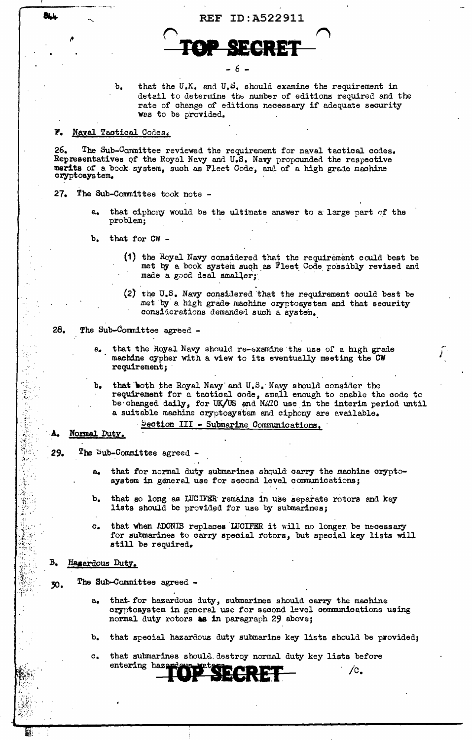



that the  $U_xK_y$  and  $U_xS_y$  should examine the requirement in  $\mathbf{b}_{\bullet}$ detail to determine the number of editions required and the rate of change of editions necessary if adequate security was to be provided.

#### F. Naval Tactical Codes.

26. The Sub-Committee reviewed the requirement for naval tactical codes. Representatives of the Royal Navy and U.S. Navy propounded the respective merits of a book system, such as Fleet Code, and of a high grade machine cryptosystem.

- 27. The Sub-Committee took note
	- that ciphony would be the ultimate answer to a large part of the problem:
	- that for CW -Ъ.
		- (1) the Royal Navy considered that the requirement could best be met by a book system such as Fleet Code possibly revised and made a good deal smaller;
		- (2) the U.S. Navy considered that the requirement could best be met by a high grade machine cryptosystem and that security considerations demanded such a system.

Р

- 28. The Sub-Committee agreed
	- that the Royal Navy should re-examine the use of a high grade machine cypher with a view to its eventually meeting the CW requirement;
	- that both the Royal Navy and U.S. Navy should consider the requirement for a tactical code, small enough to enable the code to  $\mathbf{b}$ be changed daily, for UK/US and NATO use in the interim period until a suitable machine cryptosystem and ciphony are available.

## Section III - Submarine Communications.

### Normal Duty.

- The Sub-Committee agreed 29.
	- that for normal duty submarines should carry the machine cryptoa. system in general use for second level communications;
	- $\mathbf{b}$ that so long as LUCIFER remains in use separate rotors and key lists should be provided for use by submarines;
	- that when ADONIS replaces LUCIFER it will no longer be necessary  $\alpha$ for submarines to carry special rotors, but special key lists will still be required.

#### В. Hasardous Duty.

- The Sub-Committee agreed -30.
	- that for hazardous duty, submarines should carry the machine  $a_{\bullet}$ cryptosystem in general use for second level communications using normal duty rotors as in paragraph 29 above;
	- that special hazardous duty submarine key lists should be provided;  $\mathbf{b}$ .
	- that submarines should destroy normal duty key lists before  $\mathbf{c}_{\bullet}$ entering haza  $\sqrt{c}$ .

**BLL**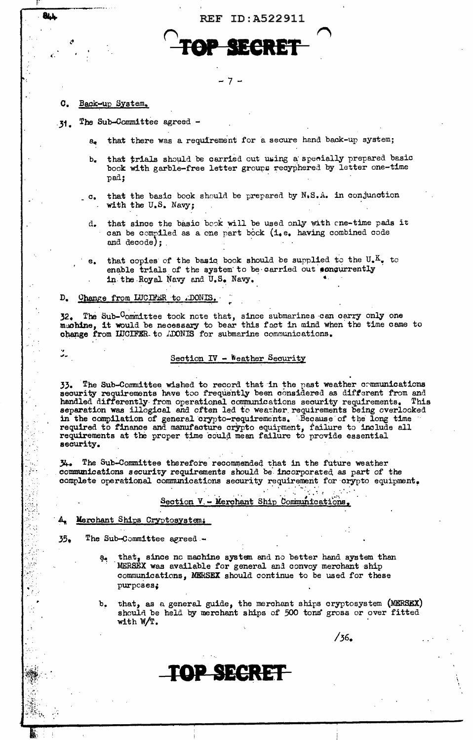**REF ID: A522911** 

#### c. Back-up System.

**BLL** 

ű.

- The Sub-Committee agreed - $31.$ 
	- that there was a requirement for a secure hand back-up system;  $a_{\bullet}$

7

- that trials should be carried out using a specially prepared basic b. book with garble-free letter groups recyphered by letter one-time pad;
- that the basic book should be prepared by N.S.A. in conjunction  $_{-}$   $\mathbf{c}_{\bullet}$ with the U.S. Navy;
	- that since the basic book will be used only with one-time pads it d. can be compiled as a one part bock (i.e. having combined code and decode);
	- that copies of the basic book should be supplied to the  $U_{\bullet}K_{\bullet}$  to e. enable trials of the system to be carried out concurrently in the Royal Navy and U.S. Navy.

#### D. Change from LUCIFER to .DONIS.

32. The Sub-Committee took note that, since submarines can carry only one muchine, it would be necessary to bear this fact in mind when the time came to change from IUCIFER to ADONIS for submarine communications.

### Section IV - Weather Security

33. The Sub-Committee wished to record that in the past weather communications security requirements have too frequently been considered as different from and handled differently from operational communications security requirements. This separation was illogical and often led to weather requirements being overlooked<br>in the compilation of general crypto-requirements. Because of the long time required to finance and manufacture crypto equipment, failure to include all requirements at the proper time could mean failure to provide essential security.

The Sub-Committee therefore recommended that in the future weather 34. communications security requirements should be incorporated as part of the complete operational communications security requirement for crypto equipment.

# Section V. - Merchant Ship Communications

### Merchant Ships Cryptosystem,

 $35<sub>2</sub>$ The Sub-Committee agreed -

- that, since no machine system and no better hand system than MERSEX was available for general and convoy merchant ship communications, MERSEX should continue to be used for these purposes:
- that, as a general guide, the merchant ships cryptosystem (MERSEX)  $\mathbf{b}_{\bullet}$ should be held by merchant ships of 500 tons gross or over fitted with  $W/T$ .

 $/36.$ 

TOP SECRET